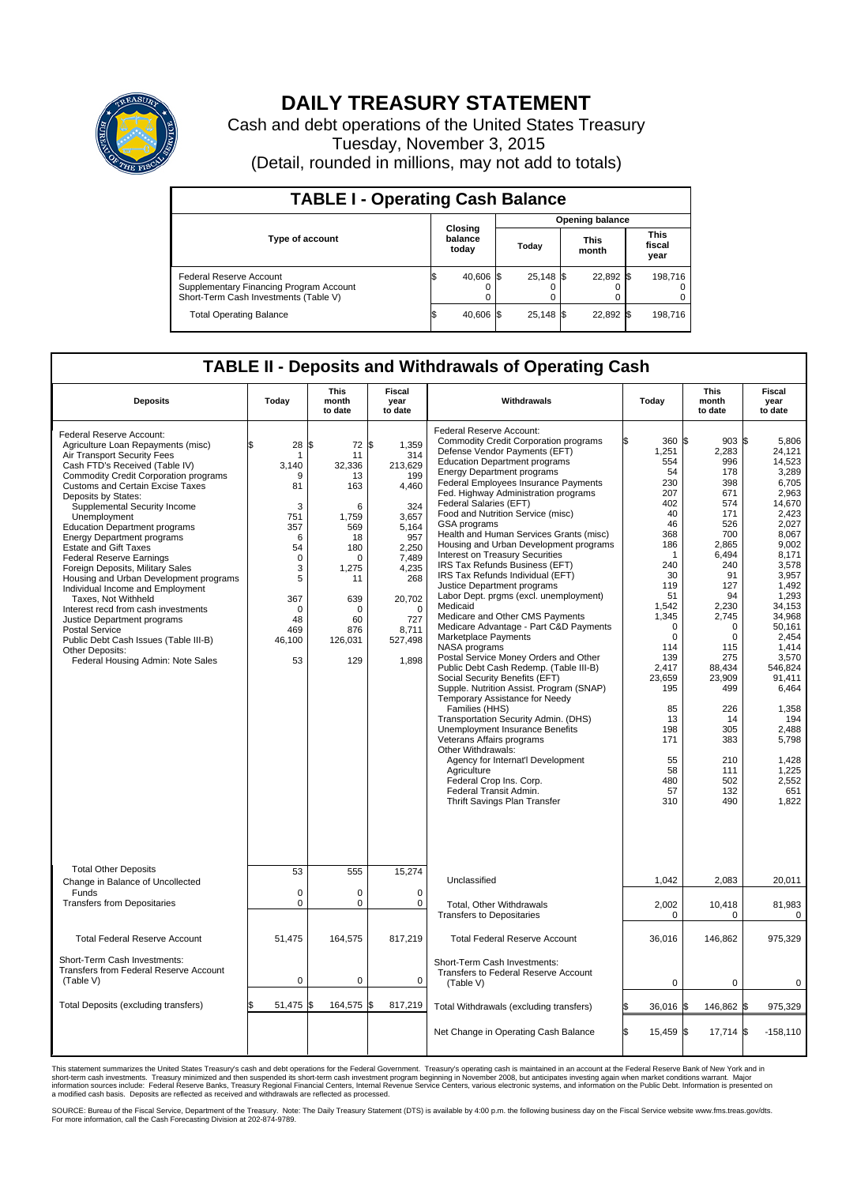

## **DAILY TREASURY STATEMENT**

Cash and debt operations of the United States Treasury Tuesday, November 3, 2015 (Detail, rounded in millions, may not add to totals)

| <b>TABLE I - Operating Cash Balance</b>                                                                     |  |                             |       |                        |                      |           |  |                               |  |  |  |
|-------------------------------------------------------------------------------------------------------------|--|-----------------------------|-------|------------------------|----------------------|-----------|--|-------------------------------|--|--|--|
|                                                                                                             |  |                             |       | <b>Opening balance</b> |                      |           |  |                               |  |  |  |
| <b>Type of account</b>                                                                                      |  | Closing<br>balance<br>today | Todav |                        | <b>This</b><br>month |           |  | <b>This</b><br>fiscal<br>year |  |  |  |
| Federal Reserve Account<br>Supplementary Financing Program Account<br>Short-Term Cash Investments (Table V) |  | 40,606 \$                   |       | 25.148 \$              |                      | 22,892 \$ |  | 198.716                       |  |  |  |
| <b>Total Operating Balance</b>                                                                              |  | 40,606 \$                   |       | $25,148$ \$            |                      | 22,892 \$ |  | 198,716                       |  |  |  |

## **TABLE II - Deposits and Withdrawals of Operating Cash**

| <b>Deposits</b>                                                                                                                                                                                                                                                                                                                                                                                                                                                                                                                                                                                                                                                                                                                                                                     | Today                                                                                                                                    | <b>This</b><br>month<br>to date                                                                                                                         | <b>Fiscal</b><br>year<br>to date                                                                                                                                    | Withdrawals                                                                                                                                                                                                                                                                                                                                                                                                                                                                                                                                                                                                                                                                                                                                                                                                                                                                                                                                                                                                                                                                                                                                                                                                                                                       | Today                                                                                                                                                                                                                                                                   | <b>This</b><br>month<br>to date                                                                                                                                                                                                                                               | Fiscal<br>year<br>to date                                                                                                                                                                                                                                                                                           |
|-------------------------------------------------------------------------------------------------------------------------------------------------------------------------------------------------------------------------------------------------------------------------------------------------------------------------------------------------------------------------------------------------------------------------------------------------------------------------------------------------------------------------------------------------------------------------------------------------------------------------------------------------------------------------------------------------------------------------------------------------------------------------------------|------------------------------------------------------------------------------------------------------------------------------------------|---------------------------------------------------------------------------------------------------------------------------------------------------------|---------------------------------------------------------------------------------------------------------------------------------------------------------------------|-------------------------------------------------------------------------------------------------------------------------------------------------------------------------------------------------------------------------------------------------------------------------------------------------------------------------------------------------------------------------------------------------------------------------------------------------------------------------------------------------------------------------------------------------------------------------------------------------------------------------------------------------------------------------------------------------------------------------------------------------------------------------------------------------------------------------------------------------------------------------------------------------------------------------------------------------------------------------------------------------------------------------------------------------------------------------------------------------------------------------------------------------------------------------------------------------------------------------------------------------------------------|-------------------------------------------------------------------------------------------------------------------------------------------------------------------------------------------------------------------------------------------------------------------------|-------------------------------------------------------------------------------------------------------------------------------------------------------------------------------------------------------------------------------------------------------------------------------|---------------------------------------------------------------------------------------------------------------------------------------------------------------------------------------------------------------------------------------------------------------------------------------------------------------------|
| Federal Reserve Account:<br>Agriculture Loan Repayments (misc)<br>Air Transport Security Fees<br>Cash FTD's Received (Table IV)<br><b>Commodity Credit Corporation programs</b><br>Customs and Certain Excise Taxes<br>Deposits by States:<br>Supplemental Security Income<br>Unemployment<br><b>Education Department programs</b><br><b>Energy Department programs</b><br><b>Estate and Gift Taxes</b><br><b>Federal Reserve Earnings</b><br>Foreign Deposits, Military Sales<br>Housing and Urban Development programs<br>Individual Income and Employment<br>Taxes, Not Withheld<br>Interest recd from cash investments<br>Justice Department programs<br><b>Postal Service</b><br>Public Debt Cash Issues (Table III-B)<br>Other Deposits:<br>Federal Housing Admin: Note Sales | 28<br>\$<br>1<br>3,140<br>9<br>81<br>3<br>751<br>357<br>6<br>54<br>$\mathbf 0$<br>3<br>5<br>367<br>$\Omega$<br>48<br>469<br>46,100<br>53 | 72 \$<br>\$<br>11<br>32,336<br>13<br>163<br>6<br>1,759<br>569<br>18<br>180<br>$\Omega$<br>1,275<br>11<br>639<br>$\Omega$<br>60<br>876<br>126,031<br>129 | 1,359<br>314<br>213,629<br>199<br>4,460<br>324<br>3,657<br>5,164<br>957<br>2.250<br>7,489<br>4,235<br>268<br>20,702<br>$\Omega$<br>727<br>8,711<br>527,498<br>1,898 | Federal Reserve Account:<br><b>Commodity Credit Corporation programs</b><br>Defense Vendor Payments (EFT)<br><b>Education Department programs</b><br><b>Energy Department programs</b><br><b>Federal Employees Insurance Payments</b><br>Fed. Highway Administration programs<br>Federal Salaries (EFT)<br>Food and Nutrition Service (misc)<br>GSA programs<br>Health and Human Services Grants (misc)<br>Housing and Urban Development programs<br>Interest on Treasury Securities<br>IRS Tax Refunds Business (EFT)<br>IRS Tax Refunds Individual (EFT)<br>Justice Department programs<br>Labor Dept. prgms (excl. unemployment)<br>Medicaid<br>Medicare and Other CMS Payments<br>Medicare Advantage - Part C&D Payments<br>Marketplace Payments<br>NASA programs<br>Postal Service Money Orders and Other<br>Public Debt Cash Redemp. (Table III-B)<br>Social Security Benefits (EFT)<br>Supple. Nutrition Assist. Program (SNAP)<br>Temporary Assistance for Needy<br>Families (HHS)<br>Transportation Security Admin. (DHS)<br>Unemployment Insurance Benefits<br>Veterans Affairs programs<br>Other Withdrawals:<br>Agency for Internat'l Development<br>Agriculture<br>Federal Crop Ins. Corp.<br>Federal Transit Admin.<br>Thrift Savings Plan Transfer | 360 \$<br>1,251<br>554<br>54<br>230<br>207<br>402<br>40<br>46<br>368<br>186<br>$\mathbf{1}$<br>240<br>30<br>119<br>51<br>1,542<br>1,345<br>$\mathbf 0$<br>$\mathbf 0$<br>114<br>139<br>2,417<br>23,659<br>195<br>85<br>13<br>198<br>171<br>55<br>58<br>480<br>57<br>310 | $903$ $\frac{1}{3}$<br>2,283<br>996<br>178<br>398<br>671<br>574<br>171<br>526<br>700<br>2,865<br>6.494<br>240<br>91<br>127<br>94<br>2,230<br>2,745<br>0<br>$\mathbf 0$<br>115<br>275<br>88,434<br>23,909<br>499<br>226<br>14<br>305<br>383<br>210<br>111<br>502<br>132<br>490 | 5.806<br>24,121<br>14,523<br>3,289<br>6.705<br>2,963<br>14,670<br>2,423<br>2.027<br>8,067<br>9,002<br>8,171<br>3,578<br>3,957<br>1,492<br>1,293<br>34,153<br>34.968<br>50.161<br>2,454<br>1.414<br>3,570<br>546,824<br>91,411<br>6,464<br>1,358<br>194<br>2,488<br>5,798<br>1,428<br>1,225<br>2,552<br>651<br>1.822 |
| <b>Total Other Deposits</b><br>Change in Balance of Uncollected                                                                                                                                                                                                                                                                                                                                                                                                                                                                                                                                                                                                                                                                                                                     | 53                                                                                                                                       | 555                                                                                                                                                     | 15,274                                                                                                                                                              | Unclassified                                                                                                                                                                                                                                                                                                                                                                                                                                                                                                                                                                                                                                                                                                                                                                                                                                                                                                                                                                                                                                                                                                                                                                                                                                                      | 1,042                                                                                                                                                                                                                                                                   | 2,083                                                                                                                                                                                                                                                                         | 20,011                                                                                                                                                                                                                                                                                                              |
| Funds<br><b>Transfers from Depositaries</b>                                                                                                                                                                                                                                                                                                                                                                                                                                                                                                                                                                                                                                                                                                                                         | $\mathbf 0$<br>$\mathbf 0$                                                                                                               | 0<br>0                                                                                                                                                  | $\mathbf 0$<br>$\mathbf 0$                                                                                                                                          | Total, Other Withdrawals<br><b>Transfers to Depositaries</b>                                                                                                                                                                                                                                                                                                                                                                                                                                                                                                                                                                                                                                                                                                                                                                                                                                                                                                                                                                                                                                                                                                                                                                                                      | 2,002<br>0                                                                                                                                                                                                                                                              | 10,418<br>$\Omega$                                                                                                                                                                                                                                                            | 81,983<br>0                                                                                                                                                                                                                                                                                                         |
| <b>Total Federal Reserve Account</b>                                                                                                                                                                                                                                                                                                                                                                                                                                                                                                                                                                                                                                                                                                                                                | 51.475                                                                                                                                   | 164,575                                                                                                                                                 | 817,219                                                                                                                                                             | <b>Total Federal Reserve Account</b>                                                                                                                                                                                                                                                                                                                                                                                                                                                                                                                                                                                                                                                                                                                                                                                                                                                                                                                                                                                                                                                                                                                                                                                                                              | 36.016                                                                                                                                                                                                                                                                  | 146.862                                                                                                                                                                                                                                                                       | 975.329                                                                                                                                                                                                                                                                                                             |
| Short-Term Cash Investments:<br><b>Transfers from Federal Reserve Account</b><br>(Table V)                                                                                                                                                                                                                                                                                                                                                                                                                                                                                                                                                                                                                                                                                          | $\pmb{0}$                                                                                                                                | 0                                                                                                                                                       | 0                                                                                                                                                                   | Short-Term Cash Investments:<br>Transfers to Federal Reserve Account<br>(Table V)                                                                                                                                                                                                                                                                                                                                                                                                                                                                                                                                                                                                                                                                                                                                                                                                                                                                                                                                                                                                                                                                                                                                                                                 | 0                                                                                                                                                                                                                                                                       | 0                                                                                                                                                                                                                                                                             | 0                                                                                                                                                                                                                                                                                                                   |
| Total Deposits (excluding transfers)                                                                                                                                                                                                                                                                                                                                                                                                                                                                                                                                                                                                                                                                                                                                                | 51,475                                                                                                                                   | 164,575<br>\$                                                                                                                                           | \$<br>817,219                                                                                                                                                       | Total Withdrawals (excluding transfers)                                                                                                                                                                                                                                                                                                                                                                                                                                                                                                                                                                                                                                                                                                                                                                                                                                                                                                                                                                                                                                                                                                                                                                                                                           | 36,016 \$                                                                                                                                                                                                                                                               | 146,862 \$                                                                                                                                                                                                                                                                    | 975,329                                                                                                                                                                                                                                                                                                             |
|                                                                                                                                                                                                                                                                                                                                                                                                                                                                                                                                                                                                                                                                                                                                                                                     |                                                                                                                                          |                                                                                                                                                         |                                                                                                                                                                     | Net Change in Operating Cash Balance                                                                                                                                                                                                                                                                                                                                                                                                                                                                                                                                                                                                                                                                                                                                                                                                                                                                                                                                                                                                                                                                                                                                                                                                                              | ß.<br>15,459 \$                                                                                                                                                                                                                                                         | $17,714$ \$                                                                                                                                                                                                                                                                   | $-158,110$                                                                                                                                                                                                                                                                                                          |

This statement summarizes the United States Treasury's cash and debt operations for the Federal Government. Treasury's operating cash is maintained in an account at the Federal Reserve Bank of New York and in<br>short-term ca

SOURCE: Bureau of the Fiscal Service, Department of the Treasury. Note: The Daily Treasury Statement (DTS) is available by 4:00 p.m. the following business day on the Fiscal Service website www.fms.treas.gov/dts.<br>For more